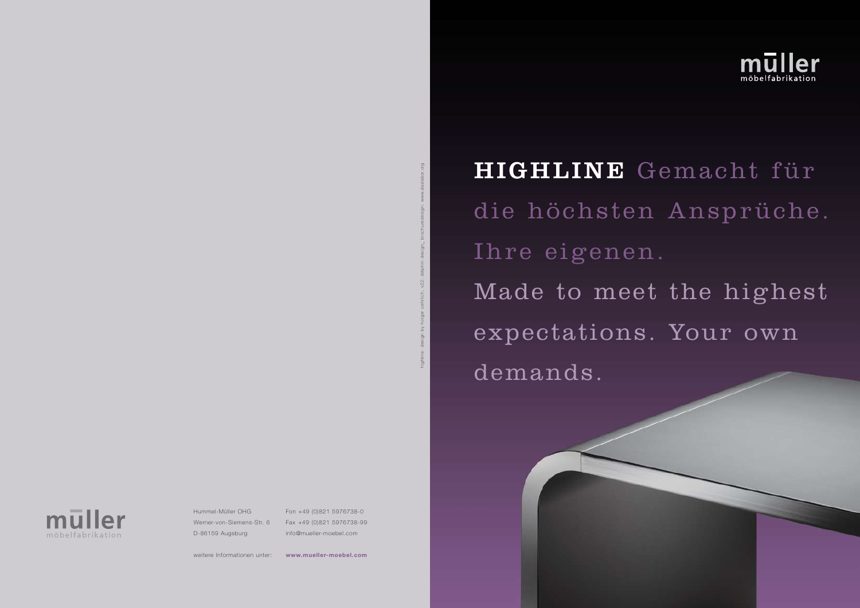## highline: design by holger oehrlich, v22: delphin design\_ brochuredesign: www.daslabor.org

Hummel-Müller OHG Werner-von-Siemens-Str. 6 D-86159 Augsburg

weitere Informationen unter:

Fon +49 (0)821 5976738-0 Fax +49 (0)821 5976738-99 info@mueller-moebel.com

**www.mueller-moebel.com**



## HIGHLINE Gemacht für

die höchsten Ansprüche. Ihre eigenen. Made to meet the highest expectations. Your own demands.

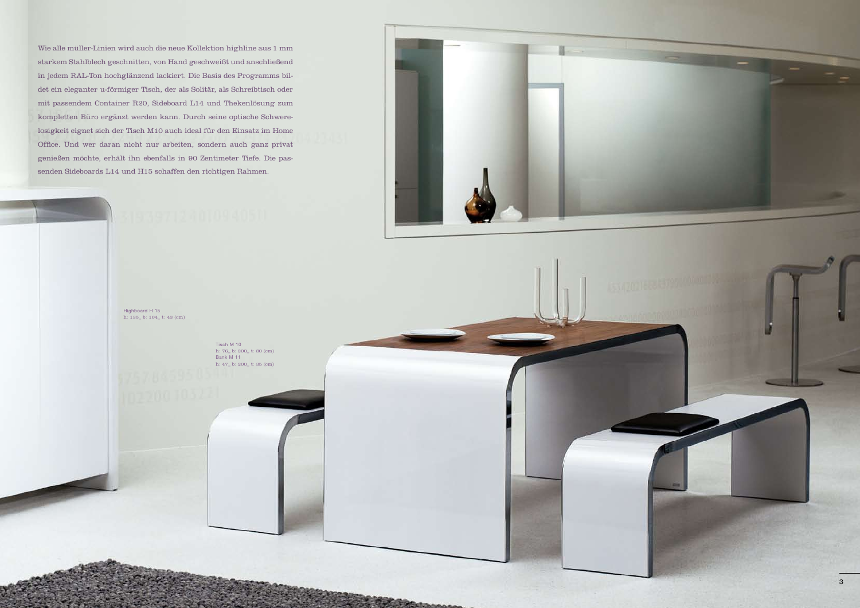Wie alle müller-Linien wird auch die neue Kollektion highline aus 1 mm starkem Stahlblech geschnitten, von Hand geschweißt und anschließend in jedem RAL-Ton hochglänzend lackiert. Die Basis des Programms bildet ein eleganter u-förmiger Tisch, der als Solitär, als Schreibtisch oder mit passendem Container R20, Sideboard L14 und Thekenlösung zum kompletten Büro ergänzt werden kann. Durch seine optische Schwerelosigkeit eignet sich der Tisch M10 auch ideal für den Einsatz im Home Office. Und wer daran nicht nur arbeiten, sondern auch ganz privat genießen möchte, erhält ihn ebenfalls in 90 Zentimeter Tiefe. Die passenden Sideboards L14 und H15 schaffen den richtigen Rahmen.

> Highboard H 15 h: 135\_ b: 104\_ t: 43 (cm)

> > Tisch M 10 h: 76\_ b: 200\_ t: 80 (cm) Bank M 11 h: 47\_ b: 200\_ t: 35 (cm)

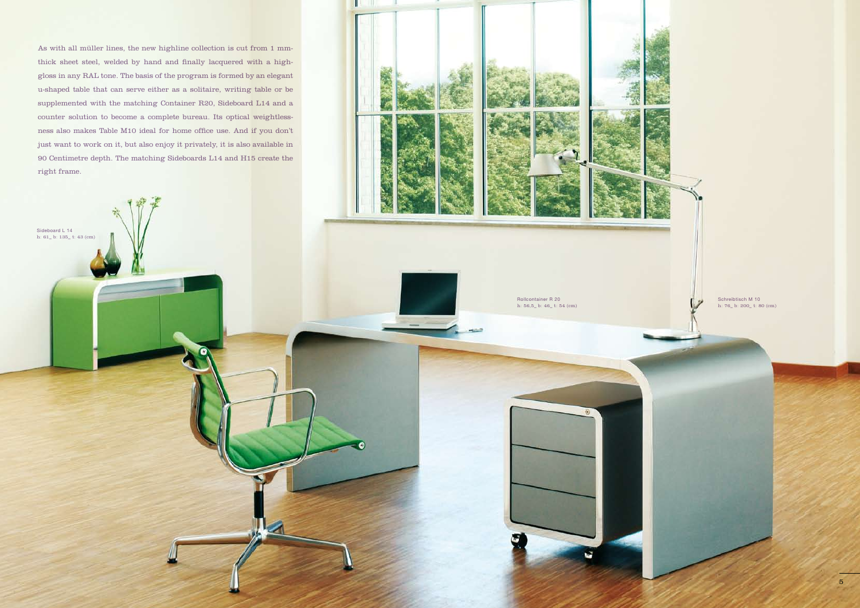As with all müller lines, the new highline collection is cut from 1 mmthick sheet steel, welded by hand and finally lacquered with a highgloss in any RAL tone. The basis of the program is formed by an elegant u-shaped table that can serve either as a solitaire, writing table or be supplemented with the matching Container R20, Sideboard L14 and a counter solution to become a complete bureau. Its optical weightlessness also makes Table M10 ideal for home office use. And if you don't just want to work on it, but also enjoy it privately, it is also available in 90 Centimetre depth. The matching Sideboards L14 and H15 create the right frame.

Sideboard L 14 h: 61\_ b: 135\_ t: 43 (cm)

> Schreibtisch M 10 h: 76\_ b: 200\_ t: 80 (cm)

Rollcontainer R 20 h: 56,5\_ b: 46\_ t: 54 (cm)

ŵ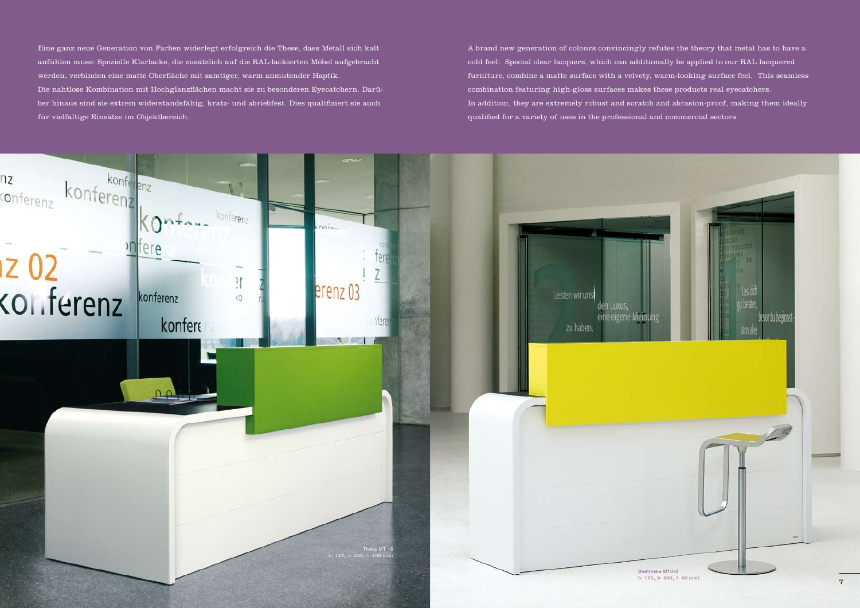

A brand new generation of colours convincingly refutes the theory that metal has to have a cold feel: Special clear lacquers, which can additionally be applied to our RAL lacquered furniture, combine a matte surface with a velvety, warm-looking surface feel. This seamless combination featuring high-gloss surfaces makes these products real eyecatchers. In addition, they are extremely robust and scratch and abrasion-proof, making them ideally qualified for a variety of uses in the professional and commercial sectors.

Eine ganz neue Generation von Farben widerlegt erfolgreich die These, dass Metall sich kalt anfühlen muss: Spezielle Klarlacke, die zusätzlich auf die RAL-lackierten Möbel aufgebracht werden, verbinden eine matte Oberfläche mit samtiger, warm anmutender Haptik. Die nahtlose Kombination mit Hochglanzflächen macht sie zu besonderen Eyecatchern. Darüber hinaus sind sie extrem widerstandsfähig, kratz- und abriebfest. Dies qualifiziert sie auch für vielfältige Einsätze im Objektbereich.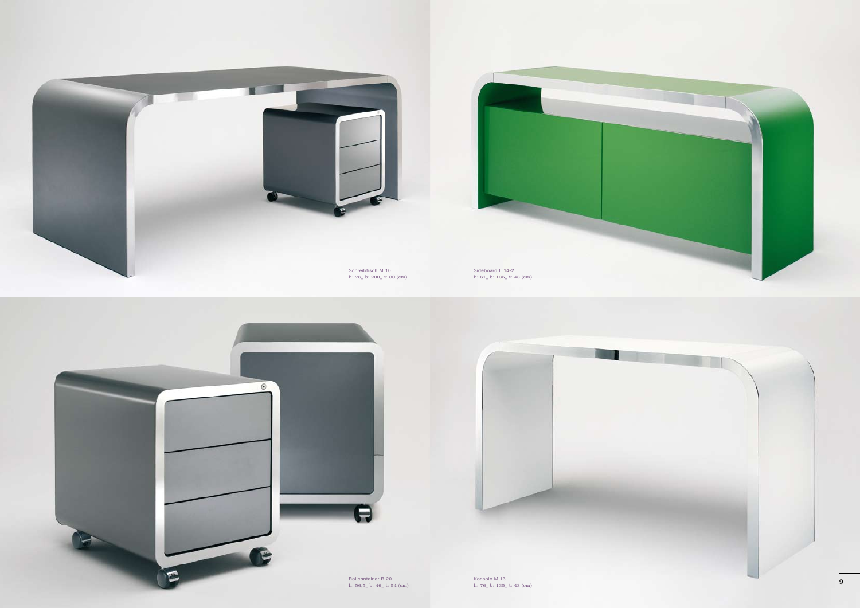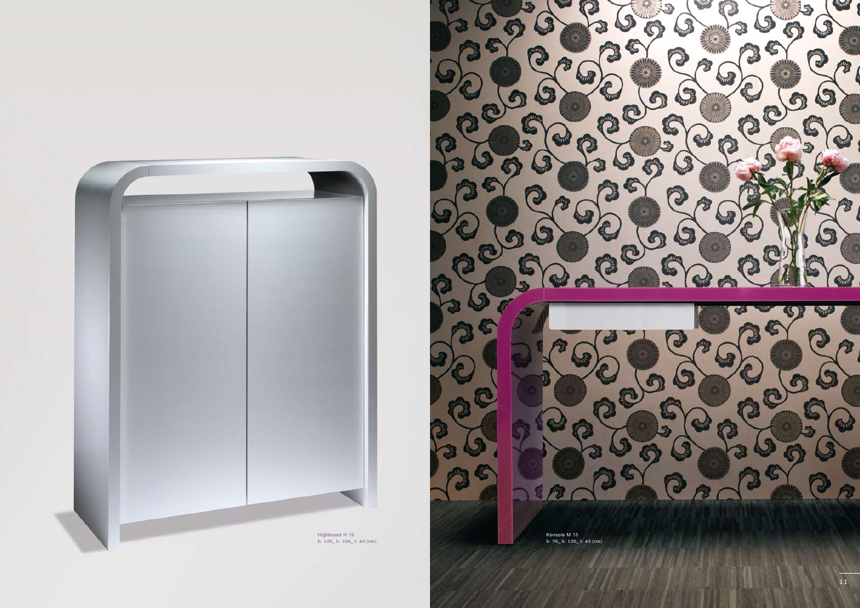

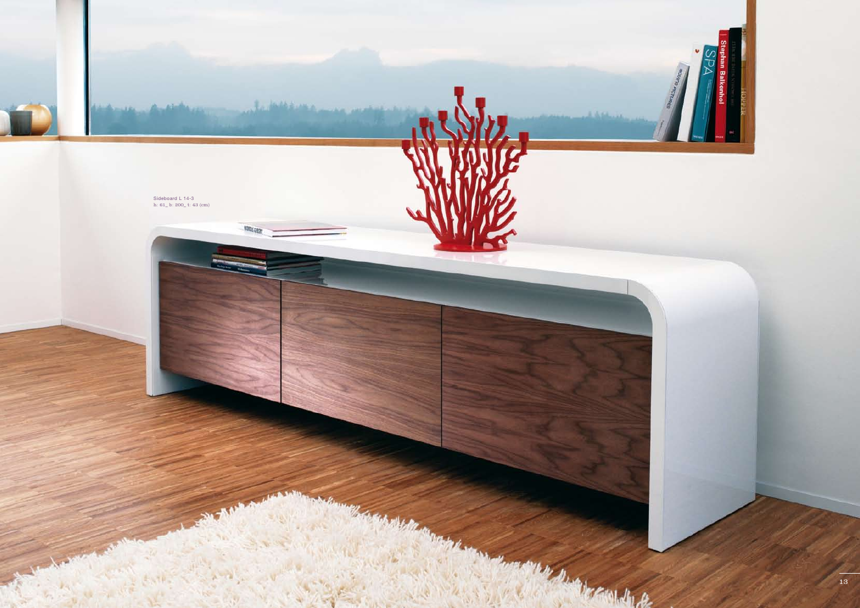